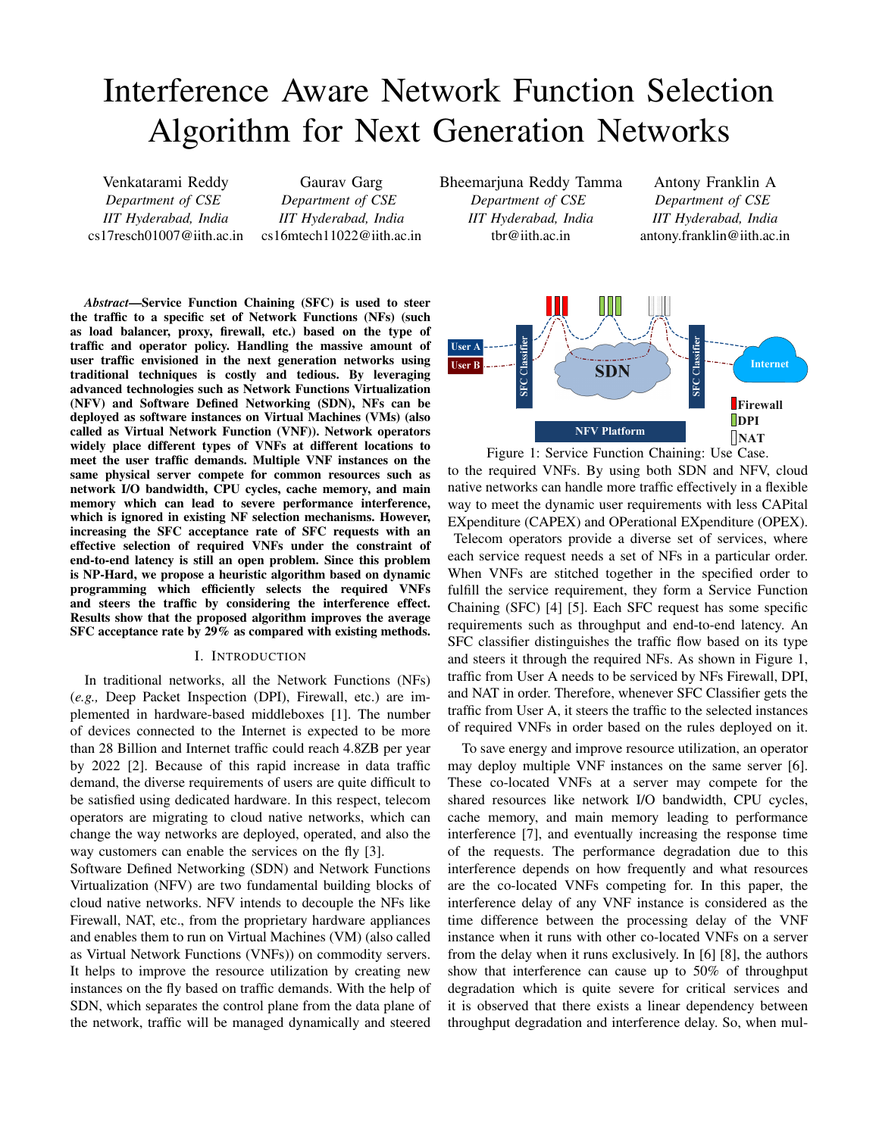# Interference Aware Network Function Selection Algorithm for Next Generation Networks

Venkatarami Reddy *Department of CSE IIT Hyderabad, India* cs17resch01007@iith.ac.in

Gaurav Garg *Department of CSE IIT Hyderabad, India* cs16mtech11022@iith.ac.in Bheemarjuna Reddy Tamma *Department of CSE IIT Hyderabad, India* tbr@iith.ac.in

Antony Franklin A *Department of CSE IIT Hyderabad, India* antony.franklin@iith.ac.in



Figure 1: Service Function Chaining: Use Case. to the required VNFs. By using both SDN and NFV, cloud native networks can handle more traffic effectively in a flexible way to meet the dynamic user requirements with less CAPital EXpenditure (CAPEX) and OPerational EXpenditure (OPEX). Telecom operators provide a diverse set of services, where each service request needs a set of NFs in a particular order. When VNFs are stitched together in the specified order to fulfill the service requirement, they form a Service Function Chaining (SFC) [4] [5]. Each SFC request has some specific requirements such as throughput and end-to-end latency. An SFC classifier distinguishes the traffic flow based on its type and steers it through the required NFs. As shown in Figure 1, traffic from User A needs to be serviced by NFs Firewall, DPI, and NAT in order. Therefore, whenever SFC Classifier gets the traffic from User A, it steers the traffic to the selected instances of required VNFs in order based on the rules deployed on it.

To save energy and improve resource utilization, an operator may deploy multiple VNF instances on the same server [6]. These co-located VNFs at a server may compete for the shared resources like network I/O bandwidth, CPU cycles, cache memory, and main memory leading to performance interference [7], and eventually increasing the response time of the requests. The performance degradation due to this interference depends on how frequently and what resources are the co-located VNFs competing for. In this paper, the interference delay of any VNF instance is considered as the time difference between the processing delay of the VNF instance when it runs with other co-located VNFs on a server from the delay when it runs exclusively. In [6] [8], the authors show that interference can cause up to 50% of throughput degradation which is quite severe for critical services and it is observed that there exists a linear dependency between throughput degradation and interference delay. So, when mul-

*Abstract*—Service Function Chaining (SFC) is used to steer the traffic to a specific set of Network Functions (NFs) (such as load balancer, proxy, firewall, etc.) based on the type of traffic and operator policy. Handling the massive amount of user traffic envisioned in the next generation networks using traditional techniques is costly and tedious. By leveraging advanced technologies such as Network Functions Virtualization (NFV) and Software Defined Networking (SDN), NFs can be deployed as software instances on Virtual Machines (VMs) (also called as Virtual Network Function (VNF)). Network operators widely place different types of VNFs at different locations to meet the user traffic demands. Multiple VNF instances on the same physical server compete for common resources such as network I/O bandwidth, CPU cycles, cache memory, and main memory which can lead to severe performance interference, which is ignored in existing NF selection mechanisms. However, increasing the SFC acceptance rate of SFC requests with an effective selection of required VNFs under the constraint of end-to-end latency is still an open problem. Since this problem is NP-Hard, we propose a heuristic algorithm based on dynamic programming which efficiently selects the required VNFs and steers the traffic by considering the interference effect. Results show that the proposed algorithm improves the average SFC acceptance rate by 29% as compared with existing methods.

# I. INTRODUCTION

In traditional networks, all the Network Functions (NFs) (*e.g.,* Deep Packet Inspection (DPI), Firewall, etc.) are implemented in hardware-based middleboxes [1]. The number of devices connected to the Internet is expected to be more than 28 Billion and Internet traffic could reach 4.8ZB per year by 2022 [2]. Because of this rapid increase in data traffic demand, the diverse requirements of users are quite difficult to be satisfied using dedicated hardware. In this respect, telecom operators are migrating to cloud native networks, which can change the way networks are deployed, operated, and also the way customers can enable the services on the fly [3].

Software Defined Networking (SDN) and Network Functions Virtualization (NFV) are two fundamental building blocks of cloud native networks. NFV intends to decouple the NFs like Firewall, NAT, etc., from the proprietary hardware appliances and enables them to run on Virtual Machines (VM) (also called as Virtual Network Functions (VNFs)) on commodity servers. It helps to improve the resource utilization by creating new instances on the fly based on traffic demands. With the help of SDN, which separates the control plane from the data plane of the network, traffic will be managed dynamically and steered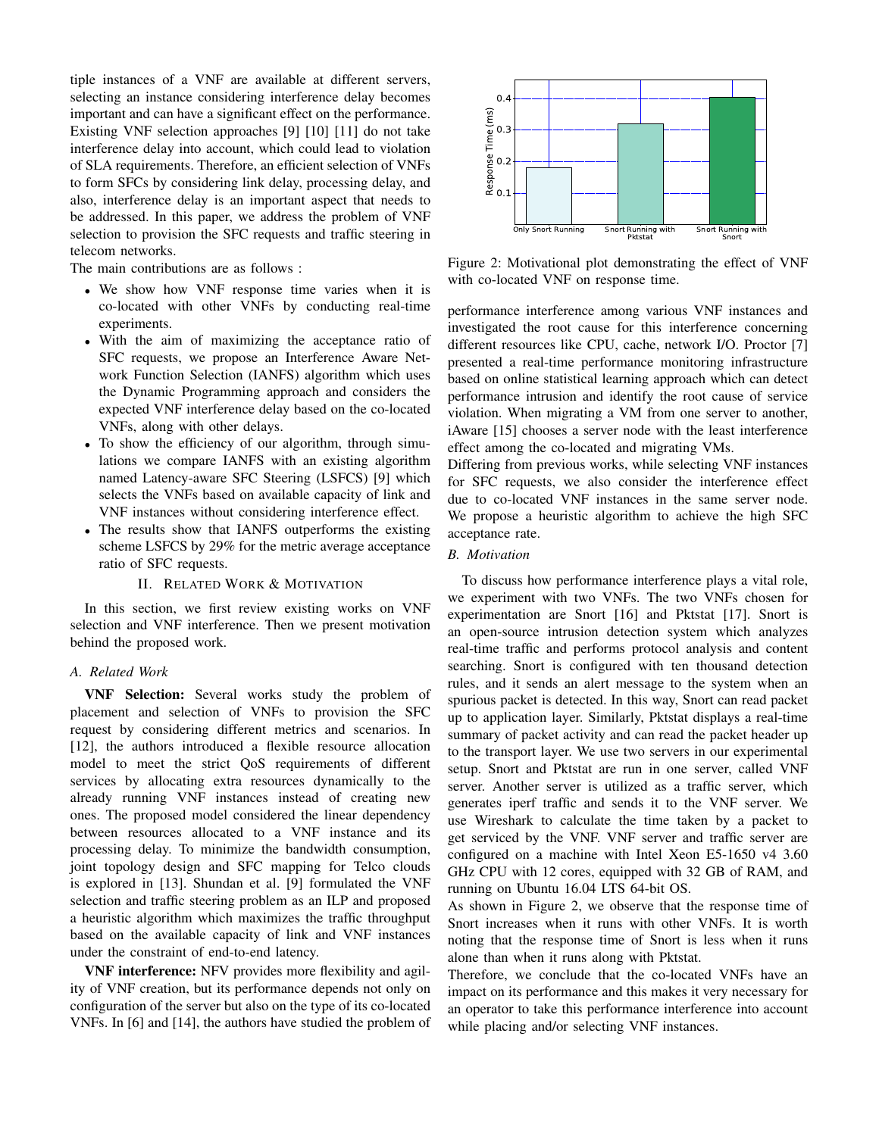tiple instances of a VNF are available at different servers, selecting an instance considering interference delay becomes important and can have a significant effect on the performance. Existing VNF selection approaches [9] [10] [11] do not take interference delay into account, which could lead to violation of SLA requirements. Therefore, an efficient selection of VNFs to form SFCs by considering link delay, processing delay, and also, interference delay is an important aspect that needs to be addressed. In this paper, we address the problem of VNF selection to provision the SFC requests and traffic steering in telecom networks.

The main contributions are as follows :

- We show how VNF response time varies when it is co-located with other VNFs by conducting real-time experiments.
- With the aim of maximizing the acceptance ratio of SFC requests, we propose an Interference Aware Network Function Selection (IANFS) algorithm which uses the Dynamic Programming approach and considers the expected VNF interference delay based on the co-located VNFs, along with other delays.
- To show the efficiency of our algorithm, through simulations we compare IANFS with an existing algorithm named Latency-aware SFC Steering (LSFCS) [9] which selects the VNFs based on available capacity of link and VNF instances without considering interference effect.
- The results show that IANFS outperforms the existing scheme LSFCS by 29% for the metric average acceptance ratio of SFC requests.

# II. RELATED WORK & MOTIVATION

In this section, we first review existing works on VNF selection and VNF interference. Then we present motivation behind the proposed work.

# *A. Related Work*

VNF Selection: Several works study the problem of placement and selection of VNFs to provision the SFC request by considering different metrics and scenarios. In [12], the authors introduced a flexible resource allocation model to meet the strict QoS requirements of different services by allocating extra resources dynamically to the already running VNF instances instead of creating new ones. The proposed model considered the linear dependency between resources allocated to a VNF instance and its processing delay. To minimize the bandwidth consumption, joint topology design and SFC mapping for Telco clouds is explored in [13]. Shundan et al. [9] formulated the VNF selection and traffic steering problem as an ILP and proposed a heuristic algorithm which maximizes the traffic throughput based on the available capacity of link and VNF instances under the constraint of end-to-end latency. Section to SPC requests and traffic steering in Figure 2. Notice and the studies of the studies of the studies of the studies of the studies of the studies of the studies of the studies of the studies of the studies of th

VNF interference: NFV provides more flexibility and agility of VNF creation, but its performance depends not only on configuration of the server but also on the type of its co-located



Figure 2: Motivational plot demonstrating the effect of VNF with co-located VNF on response time.

performance interference among various VNF instances and investigated the root cause for this interference concerning different resources like CPU, cache, network I/O. Proctor [7] presented a real-time performance monitoring infrastructure based on online statistical learning approach which can detect performance intrusion and identify the root cause of service violation. When migrating a VM from one server to another, iAware [15] chooses a server node with the least interference effect among the co-located and migrating VMs.

Differing from previous works, while selecting VNF instances for SFC requests, we also consider the interference effect due to co-located VNF instances in the same server node. We propose a heuristic algorithm to achieve the high SFC acceptance rate.

# *B. Motivation*

To discuss how performance interference plays a vital role, we experiment with two VNFs. The two VNFs chosen for experimentation are Snort [16] and Pktstat [17]. Snort is an open-source intrusion detection system which analyzes real-time traffic and performs protocol analysis and content searching. Snort is configured with ten thousand detection rules, and it sends an alert message to the system when an spurious packet is detected. In this way, Snort can read packet up to application layer. Similarly, Pktstat displays a real-time summary of packet activity and can read the packet header up to the transport layer. We use two servers in our experimental setup. Snort and Pktstat are run in one server, called VNF server. Another server is utilized as a traffic server, which generates iperf traffic and sends it to the VNF server. We use Wireshark to calculate the time taken by a packet to get serviced by the VNF. VNF server and traffic server are configured on a machine with Intel Xeon E5-1650 v4 3.60 GHz CPU with 12 cores, equipped with 32 GB of RAM, and running on Ubuntu 16.04 LTS 64-bit OS.

As shown in Figure 2, we observe that the response time of Snort increases when it runs with other VNFs. It is worth noting that the response time of Snort is less when it runs alone than when it runs along with Pktstat.

Therefore, we conclude that the co-located VNFs have an impact on its performance and this makes it very necessary for an operator to take this performance interference into account while placing and/or selecting VNF instances.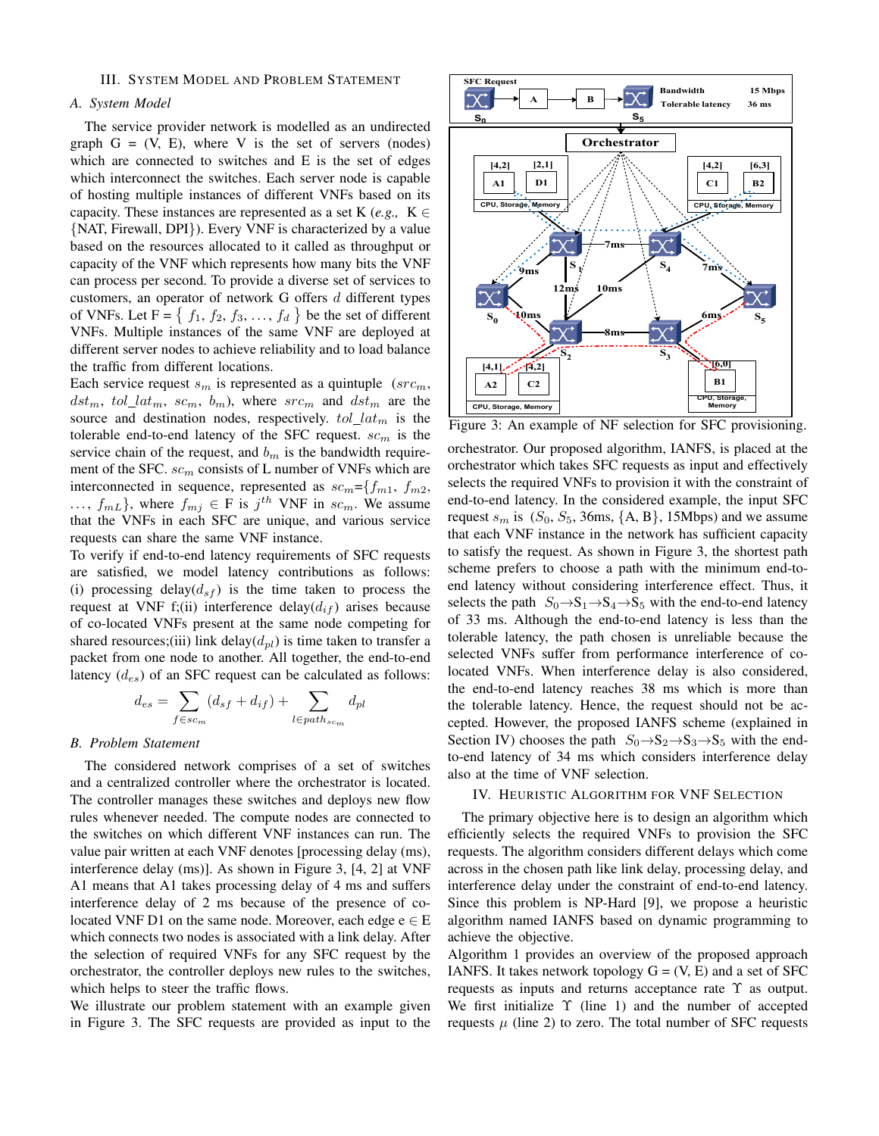# III. SYSTEM MODEL AND PROBLEM STATEMENT

#### *A. System Model*

The service provider network is modelled as an undirected graph  $G = (V, E)$ , where V is the set of servers (nodes) which are connected to switches and E is the set of edges which interconnect the switches. Each server node is capable of hosting multiple instances of different VNFs based on its capacity. These instances are represented as a set K (*e.g.*, K  $\in$ {NAT, Firewall, DPI}). Every VNF is characterized by a value based on the resources allocated to it called as throughput or capacity of the VNF which represents how many bits the VNF can process per second. To provide a diverse set of services to customers, an operator of network G offers  $d$  different types of VNFs. Let  $F = \{ f_1, f_2, f_3, ..., f_d \}$  be the set of different VNFs. Multiple instances of the same VNF are deployed at different server nodes to achieve reliability and to load balance the traffic from different locations.

Each service request  $s_m$  is represented as a quintuple ( $src_m$ ,  $dst_m$ ,  $tol\_lat_m$ ,  $sc_m$ ,  $b_m$ ), where  $src_m$  and  $dst_m$  are the source and destination nodes, respectively.  $tol\_lat_m$  is the tolerable end-to-end latency of the SFC request.  $sc<sub>m</sub>$  is the service chain of the request, and  $b<sub>m</sub>$  is the bandwidth requirement of the SFC.  $sc_m$  consists of L number of VNFs which are interconnected in sequence, represented as  $sc_m = \{f_{m1}, f_{m2},\}$  $..., f_{mL}$ , where  $f_{mj} \in F$  is  $j^{th}$  VNF in  $sc_m$ . We assume that the VNFs in each SFC are unique, and various service requests can share the same VNF instance.

To verify if end-to-end latency requirements of SFC requests are satisfied, we model latency contributions as follows: (i) processing delay( $d_{sf}$ ) is the time taken to process the request at VNF f;(ii) interference delay( $d_{if}$ ) arises because of co-located VNFs present at the same node competing for shared resources;(iii) link delay( $d_{pl}$ ) is time taken to transfer a packet from one node to another. All together, the end-to-end latency  $(d_{es})$  of an SFC request can be calculated as follows:

$$
d_{es} = \sum_{f \in sc_m} (d_{sf} + d_{if}) + \sum_{l \in path_{sc_m}} d_{pl}
$$

### *B. Problem Statement*

The considered network comprises of a set of switches and a centralized controller where the orchestrator is located. The controller manages these switches and deploys new flow rules whenever needed. The compute nodes are connected to the switches on which different VNF instances can run. The value pair written at each VNF denotes [processing delay (ms), interference delay (ms)]. As shown in Figure 3, [4, 2] at VNF A1 means that A1 takes processing delay of 4 ms and suffers interference delay of 2 ms because of the presence of colocated VNF D1 on the same node. Moreover, each edge  $e \in E$ which connects two nodes is associated with a link delay. After the selection of required VNFs for any SFC request by the orchestrator, the controller deploys new rules to the switches, which helps to steer the traffic flows.

We illustrate our problem statement with an example given in Figure 3. The SFC requests are provided as input to the



Figure 3: An example of NF selection for SFC provisioning.

orchestrator. Our proposed algorithm, IANFS, is placed at the orchestrator which takes SFC requests as input and effectively selects the required VNFs to provision it with the constraint of end-to-end latency. In the considered example, the input SFC request  $s_m$  is  $(S_0, S_5, 36$ ms,  $\{A, B\}$ , 15Mbps) and we assume that each VNF instance in the network has sufficient capacity to satisfy the request. As shown in Figure 3, the shortest path scheme prefers to choose a path with the minimum end-toend latency without considering interference effect. Thus, it selects the path  $S_0 \rightarrow S_1 \rightarrow S_4 \rightarrow S_5$  with the end-to-end latency of 33 ms. Although the end-to-end latency is less than the tolerable latency, the path chosen is unreliable because the selected VNFs suffer from performance interference of colocated VNFs. When interference delay is also considered, the end-to-end latency reaches 38 ms which is more than the tolerable latency. Hence, the request should not be accepted. However, the proposed IANFS scheme (explained in Section IV) chooses the path  $S_0 \rightarrow S_2 \rightarrow S_3 \rightarrow S_5$  with the endto-end latency of 34 ms which considers interference delay also at the time of VNF selection.

### IV. HEURISTIC ALGORITHM FOR VNF SELECTION

The primary objective here is to design an algorithm which efficiently selects the required VNFs to provision the SFC requests. The algorithm considers different delays which come across in the chosen path like link delay, processing delay, and interference delay under the constraint of end-to-end latency. Since this problem is NP-Hard [9], we propose a heuristic algorithm named IANFS based on dynamic programming to achieve the objective.

Algorithm 1 provides an overview of the proposed approach IANFS. It takes network topology  $G = (V, E)$  and a set of SFC requests as inputs and returns acceptance rate Υ as output. We first initialize  $\Upsilon$  (line 1) and the number of accepted requests  $\mu$  (line 2) to zero. The total number of SFC requests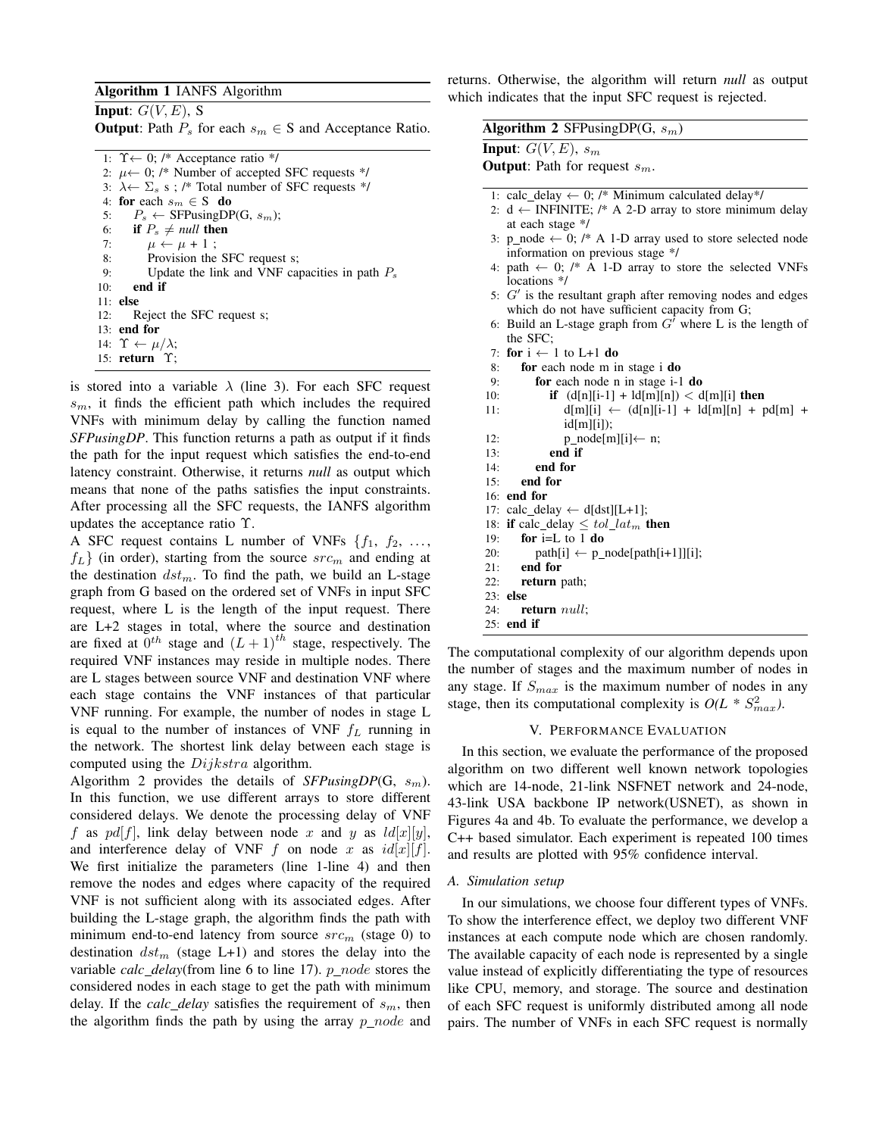# Algorithm 1 IANFS Algorithm

**Input:**  $G(V, E)$ , S

**Output:** Path  $P_s$  for each  $s_m \in S$  and Acceptance Ratio.

1:  $\Upsilon \leftarrow 0$ ; /\* Acceptance ratio \*/ 2:  $\mu \leftarrow 0$ ; /\* Number of accepted SFC requests \*/ 3:  $\lambda \leftarrow \Sigma_s$  s; /\* Total number of SFC requests \*/ 4: for each  $s_m \in S$  do 5:  $P_s \leftarrow$  SFPusingDP(G,  $s_m$ ); 6: if  $P_s \neq null$  then 7:  $\mu \leftarrow \mu + 1$ ; 8: Provision the SFC request s; 9: Update the link and VNF capacities in path  $P_s$ 10: end if 11: else 12: Reject the SFC request s; 13: end for 14:  $\Upsilon \leftarrow \mu/\lambda;$ 15: return Υ;

is stored into a variable  $\lambda$  (line 3). For each SFC request  $s_m$ , it finds the efficient path which includes the required VNFs with minimum delay by calling the function named *SFPusingDP*. This function returns a path as output if it finds the path for the input request which satisfies the end-to-end latency constraint. Otherwise, it returns *null* as output which means that none of the paths satisfies the input constraints. After processing all the SFC requests, the IANFS algorithm updates the acceptance ratio Υ.

A SFC request contains L number of VNFs  $\{f_1, f_2, \ldots, f_n\}$  $f_L$ } (in order), starting from the source  $src_m$  and ending at the destination  $dst_m$ . To find the path, we build an L-stage graph from G based on the ordered set of VNFs in input SFC request, where L is the length of the input request. There are L+2 stages in total, where the source and destination are fixed at  $0^{th}$  stage and  $(L + 1)^{th}$  stage, respectively. The required VNF instances may reside in multiple nodes. There are L stages between source VNF and destination VNF where each stage contains the VNF instances of that particular VNF running. For example, the number of nodes in stage L is equal to the number of instances of VNF  $f_L$  running in the network. The shortest link delay between each stage is computed using the *Dijkstra* algorithm.

Algorithm 2 provides the details of  $SFPusingDP(G, s_m)$ . In this function, we use different arrays to store different considered delays. We denote the processing delay of VNF f as pd[f], link delay between node x and y as  $\frac{Id[x][y]}{y}$ , and interference delay of VNF f on node x as  $id[x][f]$ . We first initialize the parameters (line 1-line 4) and then remove the nodes and edges where capacity of the required VNF is not sufficient along with its associated edges. After building the L-stage graph, the algorithm finds the path with minimum end-to-end latency from source  $src_m$  (stage 0) to destination  $dst_m$  (stage L+1) and stores the delay into the variable *calc\_delay*(from line 6 to line 17).  $p\_node$  stores the considered nodes in each stage to get the path with minimum delay. If the *calc\_delay* satisfies the requirement of  $s_m$ , then the algorithm finds the path by using the array  $p\_node$  and returns. Otherwise, the algorithm will return *null* as output which indicates that the input SFC request is rejected.

| Algorithm 2 SFPusingDP(G, $s_m$ )                                    |
|----------------------------------------------------------------------|
| <b>Input:</b> $G(V, E)$ , $s_m$                                      |
| <b>Output:</b> Path for request $s_m$ .                              |
|                                                                      |
| 1: calc_delay $\leftarrow$ 0; /* Minimum calculated delay*/          |
| 2: $d \leftarrow$ INFINITE; /* A 2-D array to store minimum delay    |
| at each stage */                                                     |
| 3: p_node $\leftarrow$ 0; /* A 1-D array used to store selected node |
| information on previous stage */                                     |
| 4: path $\leftarrow$ 0; /* A 1-D array to store the selected VNFs    |
| locations */                                                         |
| 5: $G'$ is the resultant graph after removing nodes and edges        |
| which do not have sufficient capacity from G;                        |
| 6: Build an L-stage graph from $G'$ where L is the length of         |
| the SFC:                                                             |
| 7: for $i \leftarrow 1$ to L+1 do                                    |
| for each node m in stage i do<br>8:                                  |
| for each node n in stage i-1 do<br>9:                                |
| <b>if</b> $(d[n][i-1] + ld[m][n]) < d[m][i]$ then<br>10:             |
| $d[m][i] \leftarrow (d[n][i-1] + ld[m][n] + pd[m] +$<br>11:          |
| $id[m][i])$ ;                                                        |
| $p\_node[m][i] \leftarrow n;$<br>12:                                 |
| end if<br>13:                                                        |
| end for<br>14:                                                       |
| end for<br>15:                                                       |
| $16:$ end for                                                        |
| 17: calc_delay $\leftarrow$ d[dst][L+1];                             |
| 18: if calc delay $\leq tol \, lat_m$ then                           |
| for $i=L$ to 1 do<br>19:                                             |
| 20:<br>$path[i] \leftarrow p\_node[path[i+1]][i];$                   |
| $21:$ end for                                                        |
| 22:<br>return path;                                                  |
| 23: else                                                             |
| 24:<br>return $null:$                                                |
| $25:$ end if                                                         |
|                                                                      |

The computational complexity of our algorithm depends upon the number of stages and the maximum number of nodes in any stage. If  $S_{max}$  is the maximum number of nodes in any stage, then its computational complexity is  $O(L * S_{max}^2)$ .

# V. PERFORMANCE EVALUATION

In this section, we evaluate the performance of the proposed algorithm on two different well known network topologies which are 14-node, 21-link NSFNET network and 24-node, 43-link USA backbone IP network(USNET), as shown in Figures 4a and 4b. To evaluate the performance, we develop a C++ based simulator. Each experiment is repeated 100 times and results are plotted with 95% confidence interval.

#### *A. Simulation setup*

In our simulations, we choose four different types of VNFs. To show the interference effect, we deploy two different VNF instances at each compute node which are chosen randomly. The available capacity of each node is represented by a single value instead of explicitly differentiating the type of resources like CPU, memory, and storage. The source and destination of each SFC request is uniformly distributed among all node pairs. The number of VNFs in each SFC request is normally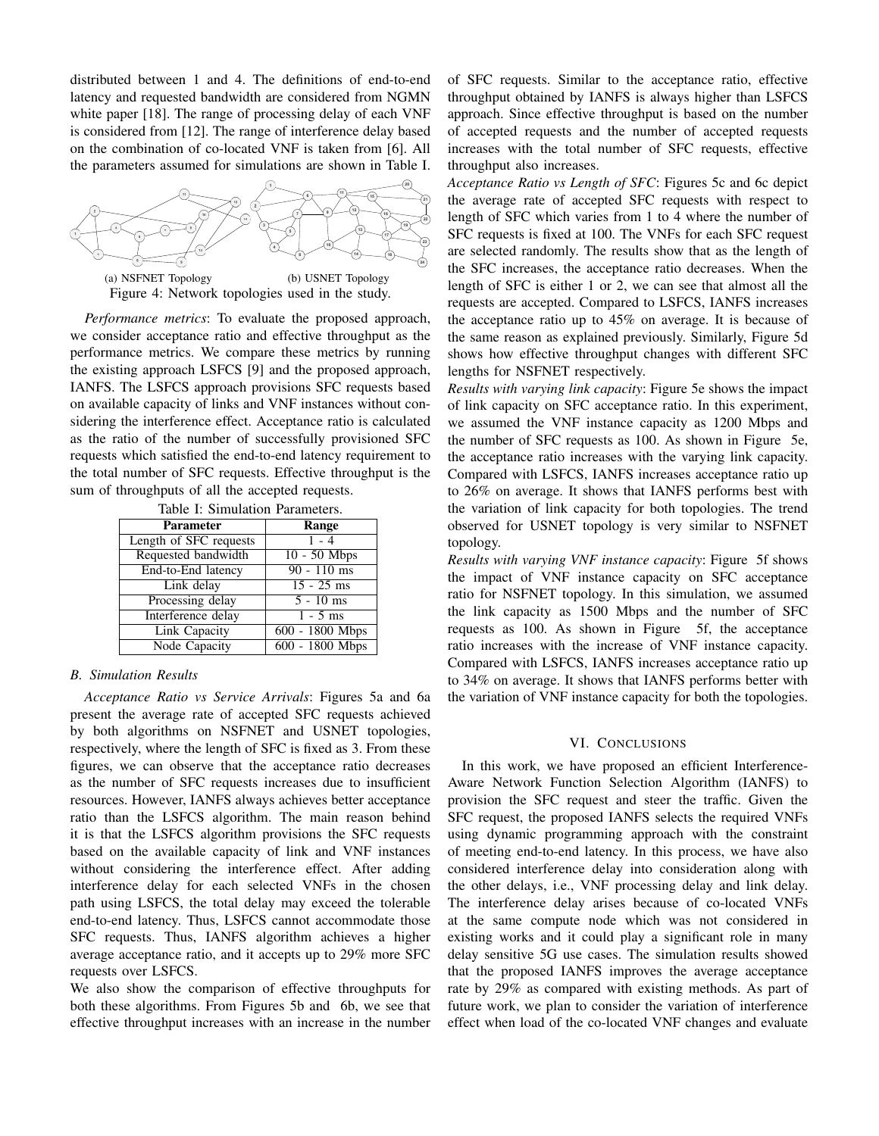distributed between 1 and 4. The definitions of end-to-end latency and requested bandwidth are considered from NGMN white paper [18]. The range of processing delay of each VNF is considered from [12]. The range of interference delay based on the combination of co-located VNF is taken from [6]. All the parameters assumed for simulations are shown in Table I.



*Performance metrics*: To evaluate the proposed approach, we consider acceptance ratio and effective throughput as the performance metrics. We compare these metrics by running the existing approach LSFCS [9] and the proposed approach, IANFS. The LSFCS approach provisions SFC requests based on available capacity of links and VNF instances without considering the interference effect. Acceptance ratio is calculated as the ratio of the number of successfully provisioned SFC requests which satisfied the end-to-end latency requirement to the total number of SFC requests. Effective throughput is the sum of throughputs of all the accepted requests.

| Table 1. Shinulation Farameters. |                   |
|----------------------------------|-------------------|
| <b>Parameter</b>                 | Range             |
| Length of SFC requests           | $1 - 4$           |
| Requested bandwidth              | $10 - 50$ Mbps    |
| End-to-End latency               | $90 - 110$ ms     |
| Link delay                       | $15 - 25$ ms      |
| Processing delay                 | $5 - 10$ ms       |
| Interference delay               | $1 - 5$ ms        |
| Link Capacity                    | 600 - 1800 Mbps   |
| Node Capacity                    | $600 - 1800$ Mbps |

Table I: Simulation Parameters.

# *B. Simulation Results*

*Acceptance Ratio vs Service Arrivals*: Figures 5a and 6a present the average rate of accepted SFC requests achieved by both algorithms on NSFNET and USNET topologies, respectively, where the length of SFC is fixed as 3. From these figures, we can observe that the acceptance ratio decreases as the number of SFC requests increases due to insufficient resources. However, IANFS always achieves better acceptance ratio than the LSFCS algorithm. The main reason behind it is that the LSFCS algorithm provisions the SFC requests based on the available capacity of link and VNF instances without considering the interference effect. After adding interference delay for each selected VNFs in the chosen path using LSFCS, the total delay may exceed the tolerable end-to-end latency. Thus, LSFCS cannot accommodate those SFC requests. Thus, IANFS algorithm achieves a higher average acceptance ratio, and it accepts up to 29% more SFC requests over LSFCS.

We also show the comparison of effective throughputs for both these algorithms. From Figures 5b and 6b, we see that effective throughput increases with an increase in the number of SFC requests. Similar to the acceptance ratio, effective throughput obtained by IANFS is always higher than LSFCS approach. Since effective throughput is based on the number of accepted requests and the number of accepted requests increases with the total number of SFC requests, effective throughput also increases.

*Acceptance Ratio vs Length of SFC*: Figures 5c and 6c depict the average rate of accepted SFC requests with respect to length of SFC which varies from 1 to 4 where the number of SFC requests is fixed at 100. The VNFs for each SFC request are selected randomly. The results show that as the length of the SFC increases, the acceptance ratio decreases. When the length of SFC is either 1 or 2, we can see that almost all the requests are accepted. Compared to LSFCS, IANFS increases the acceptance ratio up to 45% on average. It is because of the same reason as explained previously. Similarly, Figure 5d shows how effective throughput changes with different SFC lengths for NSFNET respectively.

*Results with varying link capacity*: Figure 5e shows the impact of link capacity on SFC acceptance ratio. In this experiment, we assumed the VNF instance capacity as 1200 Mbps and the number of SFC requests as 100. As shown in Figure 5e, the acceptance ratio increases with the varying link capacity. Compared with LSFCS, IANFS increases acceptance ratio up to 26% on average. It shows that IANFS performs best with the variation of link capacity for both topologies. The trend observed for USNET topology is very similar to NSFNET topology.

*Results with varying VNF instance capacity*: Figure 5f shows the impact of VNF instance capacity on SFC acceptance ratio for NSFNET topology. In this simulation, we assumed the link capacity as 1500 Mbps and the number of SFC requests as 100. As shown in Figure 5f, the acceptance ratio increases with the increase of VNF instance capacity. Compared with LSFCS, IANFS increases acceptance ratio up to 34% on average. It shows that IANFS performs better with the variation of VNF instance capacity for both the topologies.

# VI. CONCLUSIONS

In this work, we have proposed an efficient Interference-Aware Network Function Selection Algorithm (IANFS) to provision the SFC request and steer the traffic. Given the SFC request, the proposed IANFS selects the required VNFs using dynamic programming approach with the constraint of meeting end-to-end latency. In this process, we have also considered interference delay into consideration along with the other delays, i.e., VNF processing delay and link delay. The interference delay arises because of co-located VNFs at the same compute node which was not considered in existing works and it could play a significant role in many delay sensitive 5G use cases. The simulation results showed that the proposed IANFS improves the average acceptance rate by 29% as compared with existing methods. As part of future work, we plan to consider the variation of interference effect when load of the co-located VNF changes and evaluate